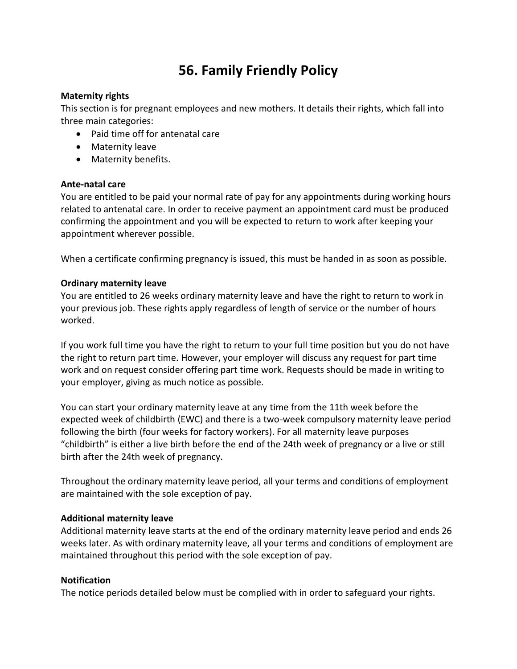# **56. Family Friendly Policy**

## **Maternity rights**

This section is for pregnant employees and new mothers. It details their rights, which fall into three main categories:

- Paid time off for antenatal care
- Maternity leave
- Maternity benefits.

#### **Ante-natal care**

You are entitled to be paid your normal rate of pay for any appointments during working hours related to antenatal care. In order to receive payment an appointment card must be produced confirming the appointment and you will be expected to return to work after keeping your appointment wherever possible.

When a certificate confirming pregnancy is issued, this must be handed in as soon as possible.

### **Ordinary maternity leave**

You are entitled to 26 weeks ordinary maternity leave and have the right to return to work in your previous job. These rights apply regardless of length of service or the number of hours worked.

If you work full time you have the right to return to your full time position but you do not have the right to return part time. However, your employer will discuss any request for part time work and on request consider offering part time work. Requests should be made in writing to your employer, giving as much notice as possible.

You can start your ordinary maternity leave at any time from the 11th week before the expected week of childbirth (EWC) and there is a two-week compulsory maternity leave period following the birth (four weeks for factory workers). For all maternity leave purposes "childbirth" is either a live birth before the end of the 24th week of pregnancy or a live or still birth after the 24th week of pregnancy.

Throughout the ordinary maternity leave period, all your terms and conditions of employment are maintained with the sole exception of pay.

### **Additional maternity leave**

Additional maternity leave starts at the end of the ordinary maternity leave period and ends 26 weeks later. As with ordinary maternity leave, all your terms and conditions of employment are maintained throughout this period with the sole exception of pay.

### **Notification**

The notice periods detailed below must be complied with in order to safeguard your rights.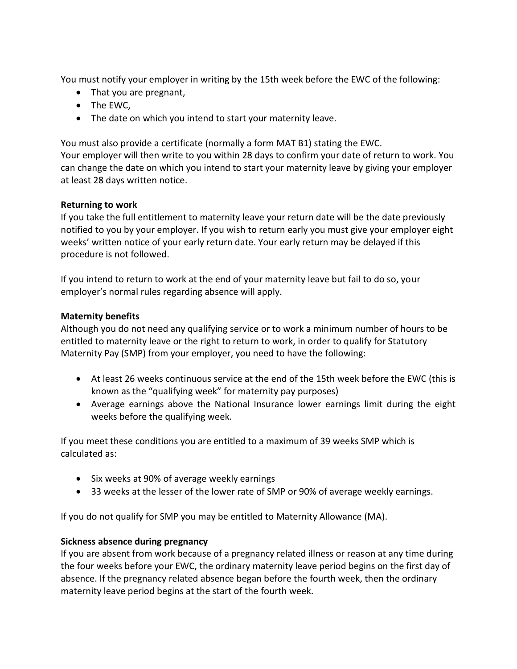You must notify your employer in writing by the 15th week before the EWC of the following:

- That you are pregnant,
- The EWC,
- The date on which you intend to start your maternity leave.

You must also provide a certificate (normally a form MAT B1) stating the EWC. Your employer will then write to you within 28 days to confirm your date of return to work. You can change the date on which you intend to start your maternity leave by giving your employer at least 28 days written notice.

## **Returning to work**

If you take the full entitlement to maternity leave your return date will be the date previously notified to you by your employer. If you wish to return early you must give your employer eight weeks' written notice of your early return date. Your early return may be delayed if this procedure is not followed.

If you intend to return to work at the end of your maternity leave but fail to do so, your employer's normal rules regarding absence will apply.

# **Maternity benefits**

Although you do not need any qualifying service or to work a minimum number of hours to be entitled to maternity leave or the right to return to work, in order to qualify for Statutory Maternity Pay (SMP) from your employer, you need to have the following:

- At least 26 weeks continuous service at the end of the 15th week before the EWC (this is known as the "qualifying week" for maternity pay purposes)
- Average earnings above the National Insurance lower earnings limit during the eight weeks before the qualifying week.

If you meet these conditions you are entitled to a maximum of 39 weeks SMP which is calculated as:

- Six weeks at 90% of average weekly earnings
- 33 weeks at the lesser of the lower rate of SMP or 90% of average weekly earnings.

If you do not qualify for SMP you may be entitled to Maternity Allowance (MA).

## **Sickness absence during pregnancy**

If you are absent from work because of a pregnancy related illness or reason at any time during the four weeks before your EWC, the ordinary maternity leave period begins on the first day of absence. If the pregnancy related absence began before the fourth week, then the ordinary maternity leave period begins at the start of the fourth week.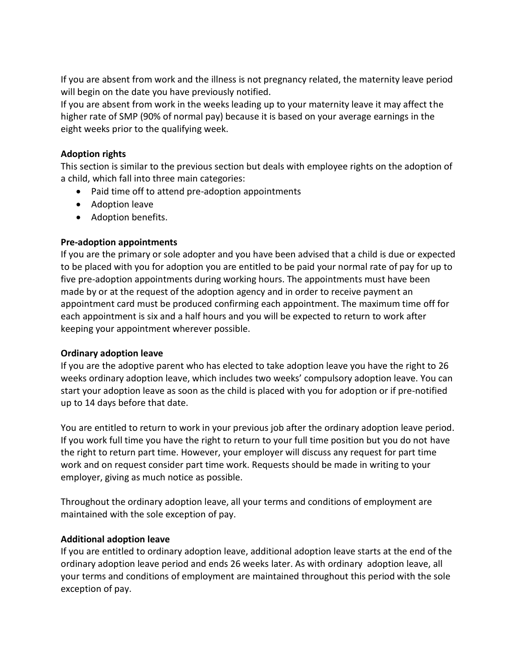If you are absent from work and the illness is not pregnancy related, the maternity leave period will begin on the date you have previously notified.

If you are absent from work in the weeks leading up to your maternity leave it may affect the higher rate of SMP (90% of normal pay) because it is based on your average earnings in the eight weeks prior to the qualifying week.

## **Adoption rights**

This section is similar to the previous section but deals with employee rights on the adoption of a child, which fall into three main categories:

- Paid time off to attend pre-adoption appointments
- Adoption leave
- Adoption benefits.

## **Pre-adoption appointments**

If you are the primary or sole adopter and you have been advised that a child is due or expected to be placed with you for adoption you are entitled to be paid your normal rate of pay for up to five pre-adoption appointments during working hours. The appointments must have been made by or at the request of the adoption agency and in order to receive payment an appointment card must be produced confirming each appointment. The maximum time off for each appointment is six and a half hours and you will be expected to return to work after keeping your appointment wherever possible.

## **Ordinary adoption leave**

If you are the adoptive parent who has elected to take adoption leave you have the right to 26 weeks ordinary adoption leave, which includes two weeks' compulsory adoption leave. You can start your adoption leave as soon as the child is placed with you for adoption or if pre-notified up to 14 days before that date.

You are entitled to return to work in your previous job after the ordinary adoption leave period. If you work full time you have the right to return to your full time position but you do not have the right to return part time. However, your employer will discuss any request for part time work and on request consider part time work. Requests should be made in writing to your employer, giving as much notice as possible.

Throughout the ordinary adoption leave, all your terms and conditions of employment are maintained with the sole exception of pay.

## **Additional adoption leave**

If you are entitled to ordinary adoption leave, additional adoption leave starts at the end of the ordinary adoption leave period and ends 26 weeks later. As with ordinary adoption leave, all your terms and conditions of employment are maintained throughout this period with the sole exception of pay.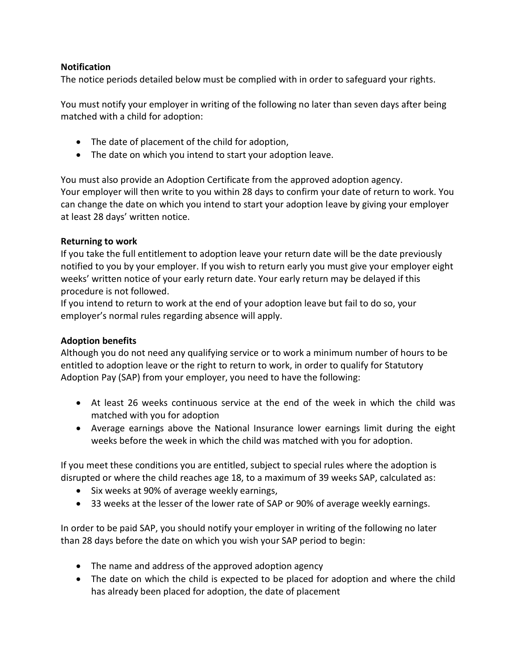## **Notification**

The notice periods detailed below must be complied with in order to safeguard your rights.

You must notify your employer in writing of the following no later than seven days after being matched with a child for adoption:

- The date of placement of the child for adoption,
- The date on which you intend to start your adoption leave.

You must also provide an Adoption Certificate from the approved adoption agency. Your employer will then write to you within 28 days to confirm your date of return to work. You can change the date on which you intend to start your adoption leave by giving your employer at least 28 days' written notice.

## **Returning to work**

If you take the full entitlement to adoption leave your return date will be the date previously notified to you by your employer. If you wish to return early you must give your employer eight weeks' written notice of your early return date. Your early return may be delayed if this procedure is not followed.

If you intend to return to work at the end of your adoption leave but fail to do so, your employer's normal rules regarding absence will apply.

## **Adoption benefits**

Although you do not need any qualifying service or to work a minimum number of hours to be entitled to adoption leave or the right to return to work, in order to qualify for Statutory Adoption Pay (SAP) from your employer, you need to have the following:

- At least 26 weeks continuous service at the end of the week in which the child was matched with you for adoption
- Average earnings above the National Insurance lower earnings limit during the eight weeks before the week in which the child was matched with you for adoption.

If you meet these conditions you are entitled, subject to special rules where the adoption is disrupted or where the child reaches age 18, to a maximum of 39 weeks SAP, calculated as:

- Six weeks at 90% of average weekly earnings,
- 33 weeks at the lesser of the lower rate of SAP or 90% of average weekly earnings.

In order to be paid SAP, you should notify your employer in writing of the following no later than 28 days before the date on which you wish your SAP period to begin:

- The name and address of the approved adoption agency
- The date on which the child is expected to be placed for adoption and where the child has already been placed for adoption, the date of placement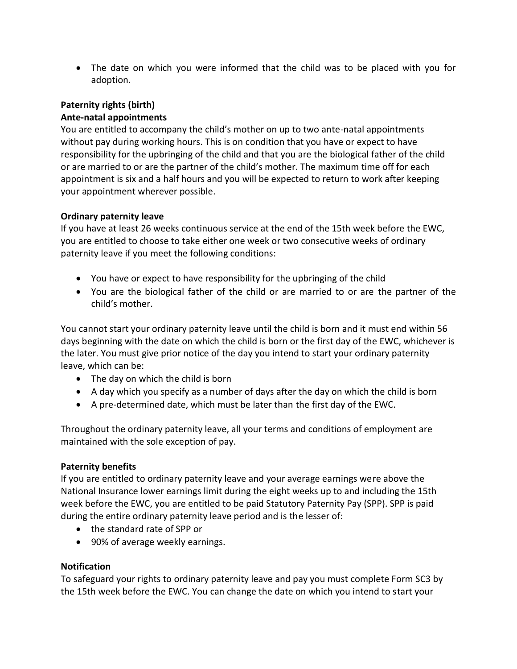• The date on which you were informed that the child was to be placed with you for adoption.

# **Paternity rights (birth) Ante-natal appointments**

You are entitled to accompany the child's mother on up to two ante-natal appointments without pay during working hours. This is on condition that you have or expect to have responsibility for the upbringing of the child and that you are the biological father of the child or are married to or are the partner of the child's mother. The maximum time off for each appointment is six and a half hours and you will be expected to return to work after keeping your appointment wherever possible.

# **Ordinary paternity leave**

If you have at least 26 weeks continuous service at the end of the 15th week before the EWC, you are entitled to choose to take either one week or two consecutive weeks of ordinary paternity leave if you meet the following conditions:

- You have or expect to have responsibility for the upbringing of the child
- You are the biological father of the child or are married to or are the partner of the child's mother.

You cannot start your ordinary paternity leave until the child is born and it must end within 56 days beginning with the date on which the child is born or the first day of the EWC, whichever is the later. You must give prior notice of the day you intend to start your ordinary paternity leave, which can be:

- The day on which the child is born
- A day which you specify as a number of days after the day on which the child is born
- A pre-determined date, which must be later than the first day of the EWC.

Throughout the ordinary paternity leave, all your terms and conditions of employment are maintained with the sole exception of pay.

## **Paternity benefits**

If you are entitled to ordinary paternity leave and your average earnings were above the National Insurance lower earnings limit during the eight weeks up to and including the 15th week before the EWC, you are entitled to be paid Statutory Paternity Pay (SPP). SPP is paid during the entire ordinary paternity leave period and is the lesser of:

- the standard rate of SPP or
- 90% of average weekly earnings.

## **Notification**

To safeguard your rights to ordinary paternity leave and pay you must complete Form SC3 by the 15th week before the EWC. You can change the date on which you intend to start your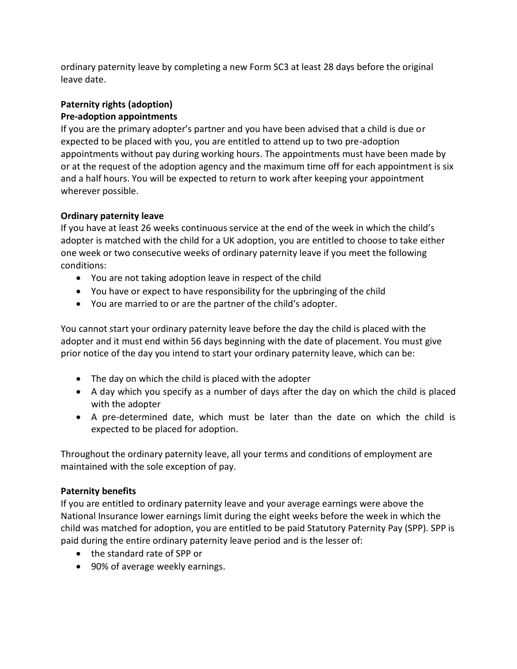ordinary paternity leave by completing a new Form SC3 at least 28 days before the original leave date.

# **Paternity rights (adoption) Pre-adoption appointments**

If you are the primary adopter's partner and you have been advised that a child is due or expected to be placed with you, you are entitled to attend up to two pre-adoption appointments without pay during working hours. The appointments must have been made by or at the request of the adoption agency and the maximum time off for each appointment is six and a half hours. You will be expected to return to work after keeping your appointment wherever possible.

# **Ordinary paternity leave**

If you have at least 26 weeks continuous service at the end of the week in which the child's adopter is matched with the child for a UK adoption, you are entitled to choose to take either one week or two consecutive weeks of ordinary paternity leave if you meet the following conditions:

- You are not taking adoption leave in respect of the child
- You have or expect to have responsibility for the upbringing of the child
- You are married to or are the partner of the child's adopter.

You cannot start your ordinary paternity leave before the day the child is placed with the adopter and it must end within 56 days beginning with the date of placement. You must give prior notice of the day you intend to start your ordinary paternity leave, which can be:

- The day on which the child is placed with the adopter
- A day which you specify as a number of days after the day on which the child is placed with the adopter
- A pre-determined date, which must be later than the date on which the child is expected to be placed for adoption.

Throughout the ordinary paternity leave, all your terms and conditions of employment are maintained with the sole exception of pay.

## **Paternity benefits**

If you are entitled to ordinary paternity leave and your average earnings were above the National Insurance lower earnings limit during the eight weeks before the week in which the child was matched for adoption, you are entitled to be paid Statutory Paternity Pay (SPP). SPP is paid during the entire ordinary paternity leave period and is the lesser of:

- the standard rate of SPP or
- 90% of average weekly earnings.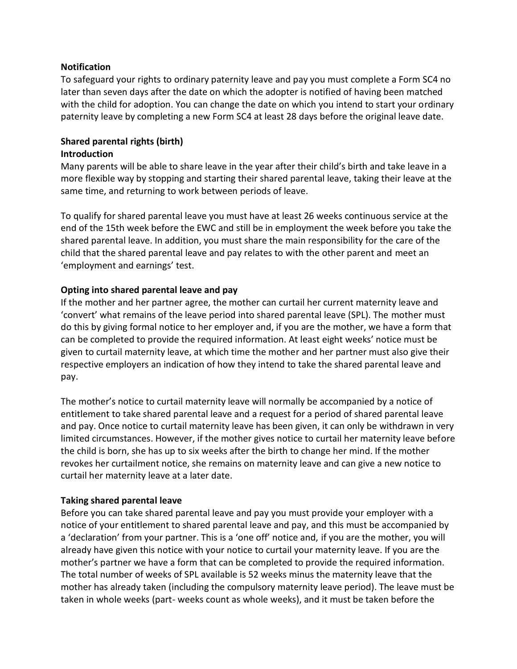### **Notification**

To safeguard your rights to ordinary paternity leave and pay you must complete a Form SC4 no later than seven days after the date on which the adopter is notified of having been matched with the child for adoption. You can change the date on which you intend to start your ordinary paternity leave by completing a new Form SC4 at least 28 days before the original leave date.

## **Shared parental rights (birth) Introduction**

Many parents will be able to share leave in the year after their child's birth and take leave in a more flexible way by stopping and starting their shared parental leave, taking their leave at the same time, and returning to work between periods of leave.

To qualify for shared parental leave you must have at least 26 weeks continuous service at the end of the 15th week before the EWC and still be in employment the week before you take the shared parental leave. In addition, you must share the main responsibility for the care of the child that the shared parental leave and pay relates to with the other parent and meet an 'employment and earnings' test.

## **Opting into shared parental leave and pay**

If the mother and her partner agree, the mother can curtail her current maternity leave and 'convert' what remains of the leave period into shared parental leave (SPL). The mother must do this by giving formal notice to her employer and, if you are the mother, we have a form that can be completed to provide the required information. At least eight weeks' notice must be given to curtail maternity leave, at which time the mother and her partner must also give their respective employers an indication of how they intend to take the shared parental leave and pay.

The mother's notice to curtail maternity leave will normally be accompanied by a notice of entitlement to take shared parental leave and a request for a period of shared parental leave and pay. Once notice to curtail maternity leave has been given, it can only be withdrawn in very limited circumstances. However, if the mother gives notice to curtail her maternity leave before the child is born, she has up to six weeks after the birth to change her mind. If the mother revokes her curtailment notice, she remains on maternity leave and can give a new notice to curtail her maternity leave at a later date.

### **Taking shared parental leave**

Before you can take shared parental leave and pay you must provide your employer with a notice of your entitlement to shared parental leave and pay, and this must be accompanied by a 'declaration' from your partner. This is a 'one off' notice and, if you are the mother, you will already have given this notice with your notice to curtail your maternity leave. If you are the mother's partner we have a form that can be completed to provide the required information. The total number of weeks of SPL available is 52 weeks minus the maternity leave that the mother has already taken (including the compulsory maternity leave period). The leave must be taken in whole weeks (part- weeks count as whole weeks), and it must be taken before the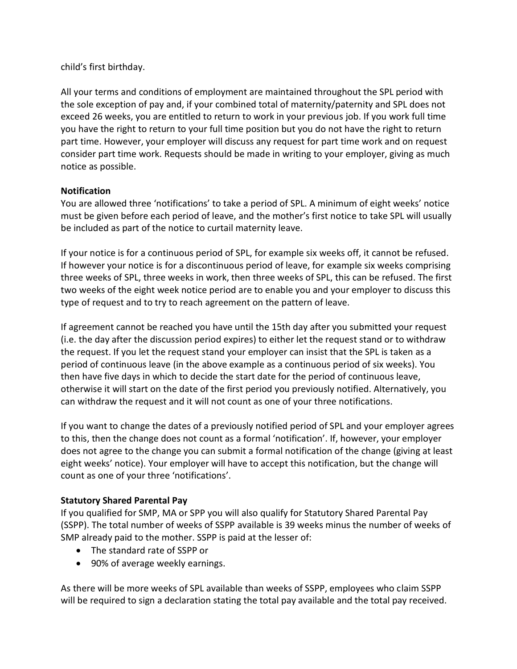child's first birthday.

All your terms and conditions of employment are maintained throughout the SPL period with the sole exception of pay and, if your combined total of maternity/paternity and SPL does not exceed 26 weeks, you are entitled to return to work in your previous job. If you work full time you have the right to return to your full time position but you do not have the right to return part time. However, your employer will discuss any request for part time work and on request consider part time work. Requests should be made in writing to your employer, giving as much notice as possible.

## **Notification**

You are allowed three 'notifications' to take a period of SPL. A minimum of eight weeks' notice must be given before each period of leave, and the mother's first notice to take SPL will usually be included as part of the notice to curtail maternity leave.

If your notice is for a continuous period of SPL, for example six weeks off, it cannot be refused. If however your notice is for a discontinuous period of leave, for example six weeks comprising three weeks of SPL, three weeks in work, then three weeks of SPL, this can be refused. The first two weeks of the eight week notice period are to enable you and your employer to discuss this type of request and to try to reach agreement on the pattern of leave.

If agreement cannot be reached you have until the 15th day after you submitted your request (i.e. the day after the discussion period expires) to either let the request stand or to withdraw the request. If you let the request stand your employer can insist that the SPL is taken as a period of continuous leave (in the above example as a continuous period of six weeks). You then have five days in which to decide the start date for the period of continuous leave, otherwise it will start on the date of the first period you previously notified. Alternatively, you can withdraw the request and it will not count as one of your three notifications.

If you want to change the dates of a previously notified period of SPL and your employer agrees to this, then the change does not count as a formal 'notification'. If, however, your employer does not agree to the change you can submit a formal notification of the change (giving at least eight weeks' notice). Your employer will have to accept this notification, but the change will count as one of your three 'notifications'.

## **Statutory Shared Parental Pay**

If you qualified for SMP, MA or SPP you will also qualify for Statutory Shared Parental Pay (SSPP). The total number of weeks of SSPP available is 39 weeks minus the number of weeks of SMP already paid to the mother. SSPP is paid at the lesser of:

- The standard rate of SSPP or
- 90% of average weekly earnings.

As there will be more weeks of SPL available than weeks of SSPP, employees who claim SSPP will be required to sign a declaration stating the total pay available and the total pay received.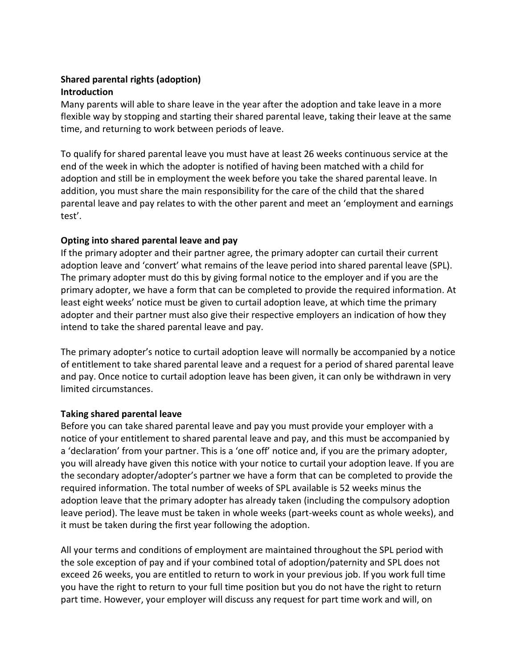## **Shared parental rights (adoption) Introduction**

Many parents will able to share leave in the year after the adoption and take leave in a more flexible way by stopping and starting their shared parental leave, taking their leave at the same time, and returning to work between periods of leave.

To qualify for shared parental leave you must have at least 26 weeks continuous service at the end of the week in which the adopter is notified of having been matched with a child for adoption and still be in employment the week before you take the shared parental leave. In addition, you must share the main responsibility for the care of the child that the shared parental leave and pay relates to with the other parent and meet an 'employment and earnings test'.

## **Opting into shared parental leave and pay**

If the primary adopter and their partner agree, the primary adopter can curtail their current adoption leave and 'convert' what remains of the leave period into shared parental leave (SPL). The primary adopter must do this by giving formal notice to the employer and if you are the primary adopter, we have a form that can be completed to provide the required information. At least eight weeks' notice must be given to curtail adoption leave, at which time the primary adopter and their partner must also give their respective employers an indication of how they intend to take the shared parental leave and pay.

The primary adopter's notice to curtail adoption leave will normally be accompanied by a notice of entitlement to take shared parental leave and a request for a period of shared parental leave and pay. Once notice to curtail adoption leave has been given, it can only be withdrawn in very limited circumstances.

## **Taking shared parental leave**

Before you can take shared parental leave and pay you must provide your employer with a notice of your entitlement to shared parental leave and pay, and this must be accompanied by a 'declaration' from your partner. This is a 'one off' notice and, if you are the primary adopter, you will already have given this notice with your notice to curtail your adoption leave. If you are the secondary adopter/adopter's partner we have a form that can be completed to provide the required information. The total number of weeks of SPL available is 52 weeks minus the adoption leave that the primary adopter has already taken (including the compulsory adoption leave period). The leave must be taken in whole weeks (part-weeks count as whole weeks), and it must be taken during the first year following the adoption.

All your terms and conditions of employment are maintained throughout the SPL period with the sole exception of pay and if your combined total of adoption/paternity and SPL does not exceed 26 weeks, you are entitled to return to work in your previous job. If you work full time you have the right to return to your full time position but you do not have the right to return part time. However, your employer will discuss any request for part time work and will, on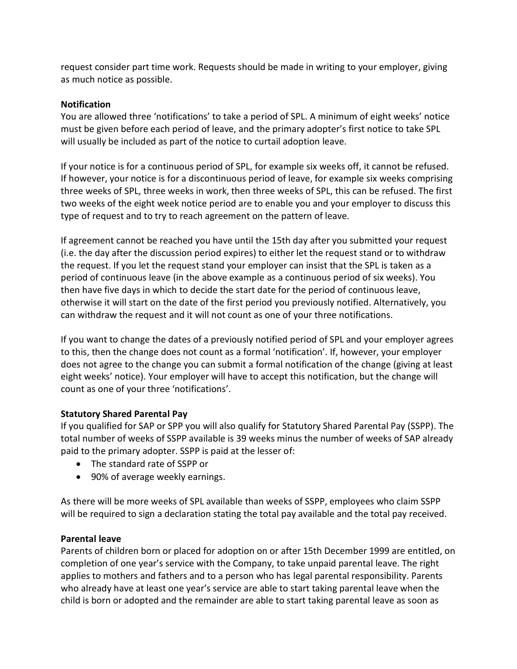request consider part time work. Requests should be made in writing to your employer, giving as much notice as possible.

## **Notification**

You are allowed three 'notifications' to take a period of SPL. A minimum of eight weeks' notice must be given before each period of leave, and the primary adopter's first notice to take SPL will usually be included as part of the notice to curtail adoption leave.

If your notice is for a continuous period of SPL, for example six weeks off, it cannot be refused. If however, your notice is for a discontinuous period of leave, for example six weeks comprising three weeks of SPL, three weeks in work, then three weeks of SPL, this can be refused. The first two weeks of the eight week notice period are to enable you and your employer to discuss this type of request and to try to reach agreement on the pattern of leave.

If agreement cannot be reached you have until the 15th day after you submitted your request (i.e. the day after the discussion period expires) to either let the request stand or to withdraw the request. If you let the request stand your employer can insist that the SPL is taken as a period of continuous leave (in the above example as a continuous period of six weeks). You then have five days in which to decide the start date for the period of continuous leave, otherwise it will start on the date of the first period you previously notified. Alternatively, you can withdraw the request and it will not count as one of your three notifications.

If you want to change the dates of a previously notified period of SPL and your employer agrees to this, then the change does not count as a formal 'notification'. If, however, your employer does not agree to the change you can submit a formal notification of the change (giving at least eight weeks' notice). Your employer will have to accept this notification, but the change will count as one of your three 'notifications'.

## **Statutory Shared Parental Pay**

If you qualified for SAP or SPP you will also qualify for Statutory Shared Parental Pay (SSPP). The total number of weeks of SSPP available is 39 weeks minus the number of weeks of SAP already paid to the primary adopter. SSPP is paid at the lesser of:

- The standard rate of SSPP or
- 90% of average weekly earnings.

As there will be more weeks of SPL available than weeks of SSPP, employees who claim SSPP will be required to sign a declaration stating the total pay available and the total pay received.

## **Parental leave**

Parents of children born or placed for adoption on or after 15th December 1999 are entitled, on completion of one year's service with the Company, to take unpaid parental leave. The right applies to mothers and fathers and to a person who has legal parental responsibility. Parents who already have at least one year's service are able to start taking parental leave when the child is born or adopted and the remainder are able to start taking parental leave as soon as